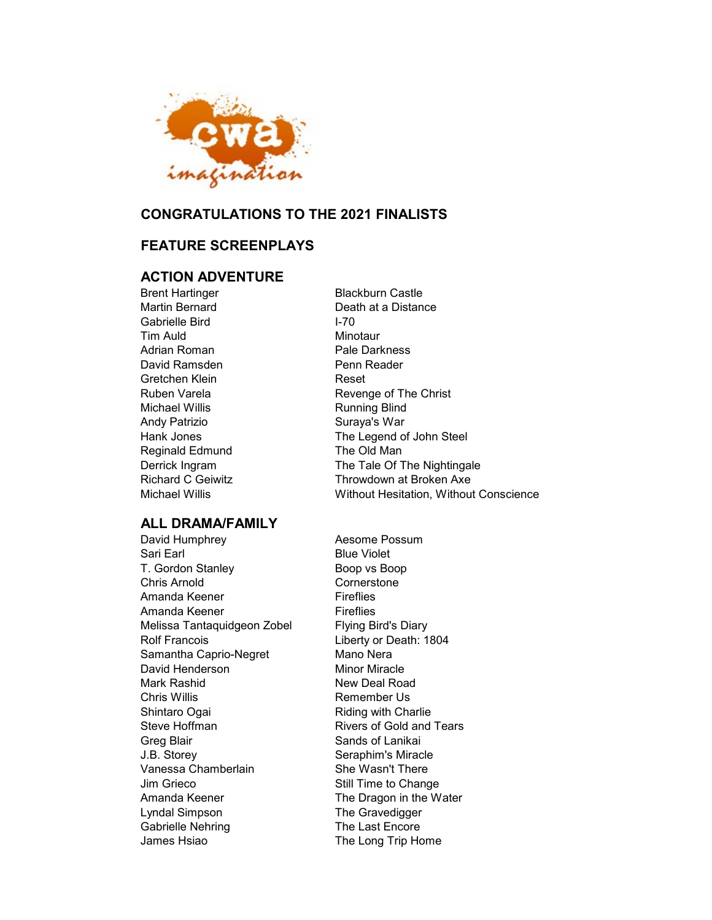

## **CONGRATULATIONS TO THE 2021 FINALISTS**

# **FEATURE SCREENPLAYS**

#### **ACTION ADVENTURE**

Gabrielle Bird<br>
Tim Auld<br>
I-70 Minotaur **Tim Auld** Adrian Roman **Pale Darkness** David Ramsden **Penn Reader**<br>Gretchen Klein **Reader**<br>Reset Gretchen Klein<br>Ruben Varela Michael Willis **Running Blind** Andy Patrizio **Suraya's War** Reginald Edmund The Old Man

Brent Hartinger **Blackburn Castle** Martin Bernard **Death at a Distance Cabrielle Bird Cabriel Cabriel**<br>
Gabrielle Bird **Cabriel Cabriel Cabriel Cabriel Cabriel Cabriel Cabriel Cabriel Cabriel Cabriel Cabriel Cabri** Revenge of The Christ Hank Jones The Legend of John Steel Derrick Ingram The Tale Of The Nightingale<br>Richard C Geiwitz Throwdown at Broken Axe Throwdown at Broken Axe Michael Willis Without Hesitation, Without Conscience

#### **ALL DRAMA/FAMILY**

David Humphrey Aesome Possum T. Gordon Stanley Boop vs Boop Chris Arnold Cornerstone Amanda Keener Fireflies Amanda Keener **Filter** Fireflies Melissa Tantaquidgeon Zobel Flying Bird's Diary Rolf Francois **Liberty or Death: 1804** Samantha Caprio-Negret Mano Nera David Henderson Minor Miracle Mark Rashid New Deal Road Chris Willis **Chris Willis** Remember Us Shintaro Ogai **Riding with Charlie** Steve Hoffman **Rivers** of Gold and Tears Greg Blair Sands of Lanikai J.B. Storey **Seraphim's Miracle** Vanessa Chamberlain She Wasn't There Jim Grieco Still Time to Change Amanda Keener The Dragon in the Water Lyndal Simpson The Gravedigger Gabrielle Nehring The Last Encore James Hsiao The Long Trip Home

**Blue Violet**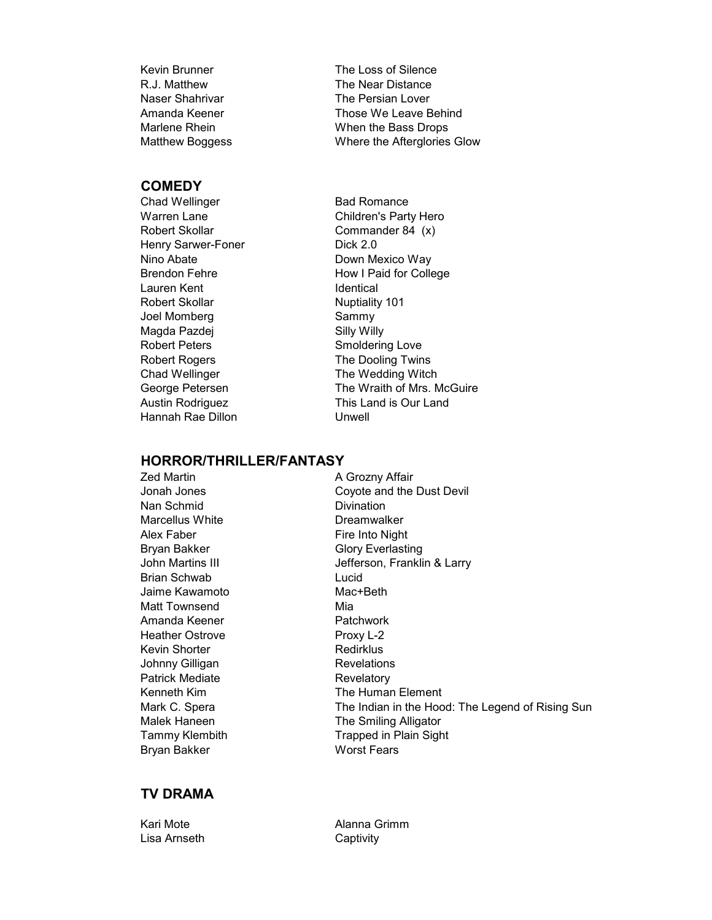#### **COMEDY**

Chad Wellinger Bad Romance Henry Sarwer-Foner **Dick 2.0** Nino Abate **Down Mexico Way** Lauren Kent<br>
Robert Skollar<br>
Robert Skollar Joel Momberg Sammy Magda Pazdej Silly Willy Robert Rogers The Dooling Twins Hannah Rae Dillon **Wannah Rae Dillon** Unwell

Kevin Brunner<br>
R.J. Matthew<br>
R.J. Matthew<br>
The Near Distance R.J. Matthew The Near Distance The Persian Lover Amanda Keener Those We Leave Behind Marlene Rhein When the Bass Drops Matthew Boggess Where the Afterglories Glow

Warren Lane **Children's Party Hero** Robert Skollar Commander 84 (x) Brendon Fehre **How I Paid for College Nuptiality 101** Smoldering Love Chad Wellinger The Wedding Witch George Petersen The Wraith of Mrs. McGuire Austin Rodriguez This Land is Our Land

# **HORROR/THRILLER/FANTASY**

Nan Schmid Divination Marcellus White **Dreamwalker**<br>Alex Faber **Dreamwalker**<br>Fire Into Night Brian Schwab Lucid Jaime Kawamoto Mac+Beth Matt Townsend Amanda Keener **Patchwork** Heather Ostrove **Proxy L-2** Kevin Shorter **Redirklus** Johnny Gilligan **Revelations** Patrick Mediate **Revelatory** Revelatory Bryan Bakker

A Grozny Affair Jonah Jones Coyote and the Dust Devil Fire Into Night Bryan Bakker Glory Everlasting<br>John Martins III Glory Guerre General Section Frankli Jefferson, Franklin & Larry Kenneth Kim The Human Element Mark C. Spera The Indian in the Hood: The Legend of Rising Sun Malek Haneen **The Smiling Alligator** Tammy Klembith **Trapped in Plain Sight**<br>Bryan Bakker **Mort Contain Contain Contain Contain** 

### **TV DRAMA**

Lisa Arnseth Captivity

Kari Mote **Alanna Grimm**